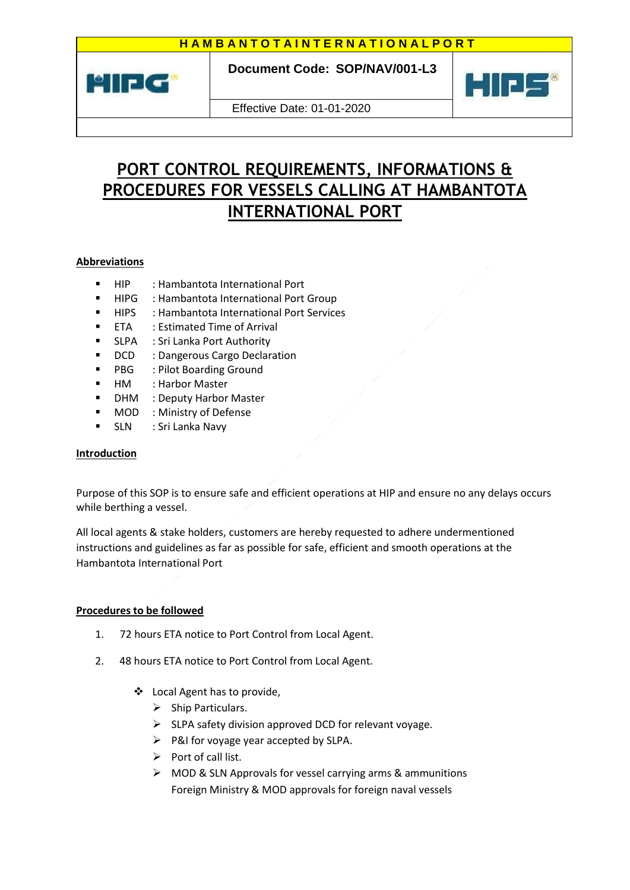

 **Document Code: SOP/NAV/001-L3**



Effective Date: 01-01-2020

## **PORT CONTROL REQUIREMENTS, INFORMATIONS & PROCEDURES FOR VESSELS CALLING AT HAMBANTOTA INTERNATIONAL PORT**

## **Abbreviations**

- HIP : Hambantota International Port
- HIPG : Hambantota International Port Group
- HIPS : Hambantota International Port Services
- ETA : Estimated Time of Arrival
- **SLPA** : Sri Lanka Port Authority
- **DCD** : Dangerous Cargo Declaration
- **PBG** : Pilot Boarding Ground
- HM : Harbor Master
- DHM : Deputy Harbor Master
- **MOD** : Ministry of Defense
- SLN : Sri Lanka Navy

## **Introduction**

Purpose of this SOP is to ensure safe and efficient operations at HIP and ensure no any delays occurs while berthing a vessel.

All local agents & stake holders, customers are hereby requested to adhere undermentioned instructions and guidelines as far as possible for safe, efficient and smooth operations at the Hambantota International Port

## **Procedures to be followed**

- 1. 72 hours ETA notice to Port Control from Local Agent.
- 2. 48 hours ETA notice to Port Control from Local Agent.
	- Local Agent has to provide,
		- $\triangleright$  Ship Particulars.
		- $\triangleright$  SLPA safety division approved DCD for relevant voyage.
		- $\triangleright$  P&I for voyage year accepted by SLPA.
		- $\triangleright$  Port of call list.
		- $\triangleright$  MOD & SLN Approvals for vessel carrying arms & ammunitions Foreign Ministry & MOD approvals for foreign naval vessels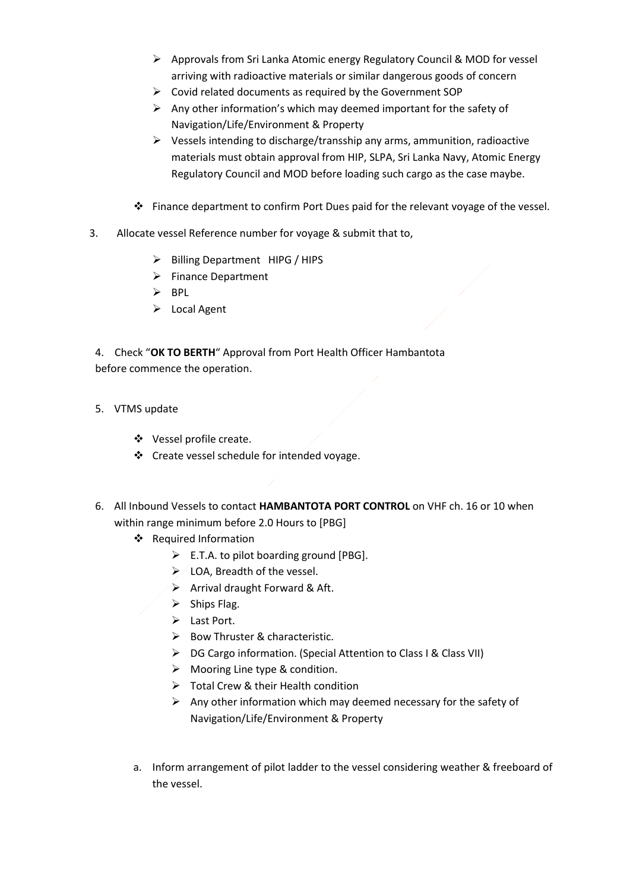- Approvals from Sri Lanka Atomic energy Regulatory Council & MOD for vessel arriving with radioactive materials or similar dangerous goods of concern
- $\triangleright$  Covid related documents as required by the Government SOP
- $\triangleright$  Any other information's which may deemed important for the safety of Navigation/Life/Environment & Property
- $\triangleright$  Vessels intending to discharge/transship any arms, ammunition, radioactive materials must obtain approval from HIP, SLPA, Sri Lanka Navy, Atomic Energy Regulatory Council and MOD before loading such cargo as the case maybe.
- Finance department to confirm Port Dues paid for the relevant voyage of the vessel.
- 3. Allocate vessel Reference number for voyage & submit that to,
	- $\triangleright$  Billing Department HIPG / HIPS
	- $\triangleright$  Finance Department
	- $\triangleright$  BPL
	- $\triangleright$  Local Agent

4. Check "**OK TO BERTH**" Approval from Port Health Officer Hambantota before commence the operation.

- 5. VTMS update
	- ❖ Vessel profile create.
	- ❖ Create vessel schedule for intended voyage.
- 6. All Inbound Vessels to contact **HAMBANTOTA PORT CONTROL** on VHF ch. 16 or 10 when within range minimum before 2.0 Hours to [PBG]
	- Required Information
		- $\triangleright$  E.T.A. to pilot boarding ground [PBG].
		- ▶ LOA, Breadth of the vessel.
		- $\triangleright$  Arrival draught Forward & Aft.
		- $\triangleright$  Ships Flag.
		- > Last Port.
		- $\triangleright$  Bow Thruster & characteristic.
		- ▶ DG Cargo information. (Special Attention to Class I & Class VII)
		- $\triangleright$  Mooring Line type & condition.
		- $\triangleright$  Total Crew & their Health condition
		- $\triangleright$  Any other information which may deemed necessary for the safety of Navigation/Life/Environment & Property
	- a. Inform arrangement of pilot ladder to the vessel considering weather & freeboard of the vessel.